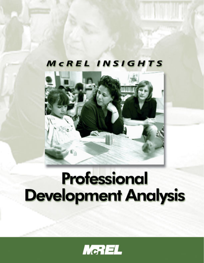# MCREL INSIGHTS



# Professional **Development Analysis**

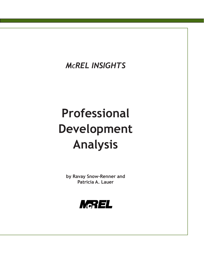*McREL INSIGHTS*

# **Professional Development Analysis**

**by Ravay Snow-Renner and Patricia A. Lauer**

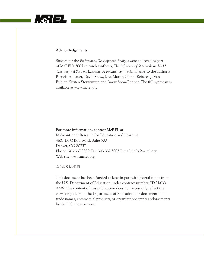

#### **Acknowledgements**

Studies for the *Professional Development Analysis* were collected as part of McREL's 2005 research synthesis, *The Influence of Standards on K–12 Teaching and Student Learning: A Research Synthesis.* Thanks to the authors: Patricia A. Lauer, David Snow, Mya Martin-Glenn, Rebecca J. Van Buhler, Kirsten Stoutemyer, and Ravay Snow-Renner. The full synthesis is available at www.mcrel.org.

**For more information, contact McREL at** Mid-continent Research for Education and Learning 4601 DTC Boulevard, Suite 500 Denver, CO 80237 Phone: 303.337.0990 Fax: 303.337.3005 E-mail: info@mcrel.org Web site: www.mcrel.org

© 2005 McREL

This document has been funded at least in part with federal funds from the U.S. Department of Education under contract number ED-01-CO-0006. The content of this publication does not necessarily reflect the views or policies of the Department of Education nor does mention of trade names, commercial products, or organizations imply endorsements by the U.S. Government.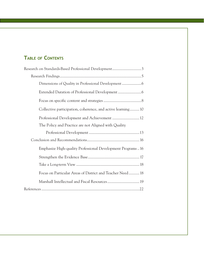# **Table of Contents**

| Research on Standards-Based Professional Development3      |
|------------------------------------------------------------|
|                                                            |
|                                                            |
|                                                            |
|                                                            |
| Collective participation, coherence, and active learning10 |
| Professional Development and Achievement  12               |
| The Policy and Practice are not Aligned with Quality       |
|                                                            |
|                                                            |
| Emphasize High-quality Professional Development Programs16 |
|                                                            |
|                                                            |
| Focus on Particular Areas of District and Teacher Need 18  |
|                                                            |
|                                                            |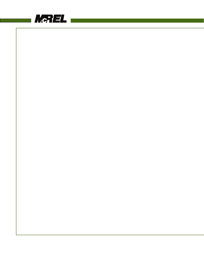

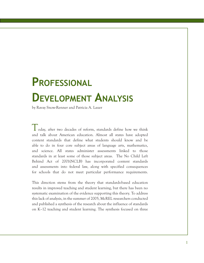# **Professional Development Analysis**

by Ravay Snow-Renner and Patricia A. Lauer

I oday, after two decades of reform, standards define how we think and talk about American education. Almost all states have adopted content standards that define what students should know and be able to do in four core subject areas of language arts, mathematics, and science. All states administer assessments linked to those standards in at least some of those subject areas. The No Child Left Behind Act of 2001(NCLB) has incorporated content standards and assessments into federal law, along with specified consequences for schools that do not meet particular performance requirements.

This direction stems from the theory that standards-based education results in improved teaching and student learning, but there has been no systematic examination of the evidence supporting this theory. To address this lack of analysis, in the summer of 2005, McREL researchers conducted and published a synthesis of the research about the influence of standards on K–12 teaching and student learning. The synthesis focused on three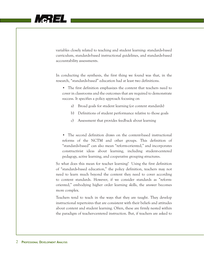

variables closely related to teaching and student learning: standards-based curriculum, standards-based instructional guidelines, and standards-based accountability assessments.

In conducting the synthesis, the first thing we found was that, in the research, "standards-based" education had at least two definitions.

• The first definition emphasizes the content that teachers need to cover in classrooms and the outcomes that are required to demonstrate success. It specifies a policy approach focusing on

- a) Broad goals for student learning (or content standards)
- b) Definitions of student performance relative to those goals
- c) Assessment that provides feedback about learning

• The second definition draws on the content-based instructional reforms of the NCTM and other groups. This definition of "standards-based" can also mean "reform-oriented," and incorporates constructivist ideas about learning, including student-centered pedagogy, active learning, and cooperative grouping structures.

So what does this mean for teacher learning? Using the first definition of "standards-based education," the policy definition, teachers may not need to learn much beyond the content they need to cover according to content standards. However, if we consider standards as "reformoriented," embodying higher order learning skills, the answer becomes more complex.

Teachers tend to teach in the ways that they are taught. They develop instructional repertoires that are consistent with their beliefs and attitudes about content and student learning. Often, these are firmly nested within the paradigm of teacher-centered instruction. But, if teachers are asked to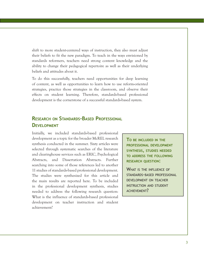shift to more student-centered ways of instruction, they also must adjust their beliefs to fit the new paradigm. To teach in the ways envisioned by standards reformers, teachers need strong content knowledge and the ability to change their pedagogical repertoire as well as their underlying beliefs and attitudes about it.

To do this successfully, teachers need opportunities for deep learning of content, as well as opportunities to learn how to use reform-oriented strategies, practice those strategies in the classroom, and observe their effects on student learning. Therefore, standards-based professional development is the cornerstone of a successful standards-based system.

## **Research on Standards-Based Professional Development**

Initially, we included standards-based professional development as a topic for the broader McREL research synthesis conducted in the summer. Sixty articles were selected through systematic searches of the literature and clearinghouse services such as ERIC, Psychological Abstracts, and Dissertation Abstracts. Further searching into some of those references led to another 11 studies of standards-based professional development. The studies were synthesized for this article and the main results are reported here. To be included in the professional development synthesis, studies needed to address the following research question: What is the influence of standards-based professional development on teacher instruction and student achievement?

**To be included in the professional development synthesis, studies needed to address the following research question:**

What is the influence of standards-based professional development on teacher instruction and student achievement?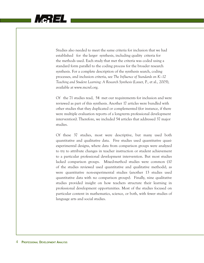Studies also needed to meet the same criteria for inclusion that we had established for the larger synthesis, including quality criteria for the methods used. Each study that met the criteria was coded using a standard form parallel to the coding process for the broader research synthesis. For a complete description of the synthesis search, coding processes, and inclusion criteria, see *The Influence of Standards on K–12 Teaching and Student Learning: A Research Synthesis* (Lauer, P., et al., 2005), available at www.mcrel.org.

Of the 71 studies read, 54 met our requirements for inclusion and were reviewed as part of this synthesis. Another 17 articles were bundled with other studies that they duplicated or complemented (for instance, if there were multiple evaluation reports of a long-term professional development intervention). Therefore, we included 54 articles that addressed 37 major studies.

Of these 37 studies, most were descriptive, but many used both quantitative and qualitative data. Five studies used quantitative quasiexperimental designs, where data from comparison groups were analyzed to try to attribute changes in teacher instruction or student achievement to a particular professional development intervention. But most studies lacked comparison groups. Mixed-method studies were common (10 of the studies reviewed used quantitative and qualitative methods), as were quantitative non-experimental studies (another 13 studies used quantitative data with no comparison groups). Finally, nine qualitative studies provided insight on how teachers structure their learning in professional development opportunities. Most of the studies focused on particular content in mathematics, science, or both, with fewer studies of language arts and social studies.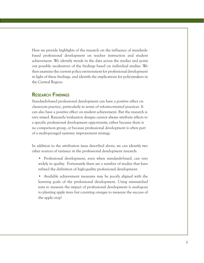Here we provide highlights of the research on the influence of standardsbased professional development on teacher instruction and student achievement. We identify trends in the data across the studies and point out possible moderators of the findings based on individual studies. We then examine the current policy environment for professional development in light of these findings, and identify the implications for policymakers in the Central Region.

### **Research Findings**

Standards-based professional development can have a positive effect on classroom practice, particularly in terms of reform-oriented practices. It can also have a positive effect on student achievement. But the research is very mixed. Research/evaluation designs cannot always attribute effects to a specific professional development opportunity, either because there is no comparison group, or because professional development is often part of a multi-pronged systemic improvement strategy.

In addition to the attribution issue described above, we can identify two other sources of variance in the professional development research:

- Professional development, even when standards-based, can vary widely in quality. Fortunately there are a number of studies that have refined the definition of high-quality professional development.
- Available achievement measures may be poorly aligned with the learning goals of the professional development. Using mismatched tests to measure the impact of professional development is analogous to planting apple trees but counting oranges to measure the success of the apple crop!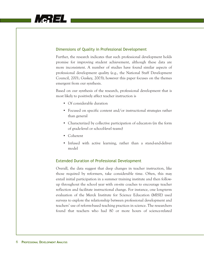

#### Dimensions of Quality in Professional Development

Further, the research indicates that such professional development holds promise for improving student achievement, although these data are more inconsistent. A number of studies have found similar aspects of professional development quality (e.g., the National Staff Development Council, 2001; Guskey, 2003); however this paper focuses on the themes emergent from our synthesis.

Based on our synthesis of the research, professional development that is most likely to positively affect teacher instruction is

- Of considerable duration
- Focused on specific content and/or instructional strategies rather than general
- Characterized by collective participation of educators (in the form of grade-level or school-level teams)
- Coherent
- Infused with active learning, rather than a stand-and-deliver model

#### Extended Duration of Professional Development

Overall, the data suggest that deep changes in teacher instruction, like those required by reformers, take considerable time. Often, this may entail initial participation in a summer training institute and then followup throughout the school year with on-site coaches to encourage teacher reflection and facilitate instructional change. For instance, one long-term evaluation of the Merck Institute for Science Education (MISE) used surveys to explore the relationship between professional development and teachers' use of reform-based teaching practices in science. The researchers found that teachers who had 80 or more hours of science-related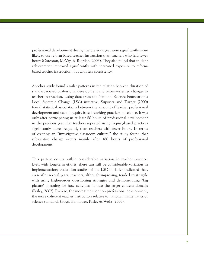professional development during the previous year were significantly more likely to use reform-based teacher instruction than teachers who had fewer hours (Corcoran, McVay, & Riordan, 2003). They also found that student achievement improved significantly with increased exposure to reformbased teacher instruction, but with less consistency.

Another study found similar patterns in the relation between duration of standards-based professional development and reform-oriented changes in teacher instruction. Using data from the National Science Foundation's Local Systemic Change (LSC) initiative, Supovitz and Turner (2000) found statistical associations between the amount of teacher professional development and use of inquiry-based teaching practices in science. It was only after participating in at least 80 hours of professional development in the previous year that teachers reported using inquiry-based practices significantly more frequently than teachers with fewer hours. In terms of creating an "investigative classroom culture," the study found that substantive change occurs mainly after 160 hours of professional development.

This pattern occurs within considerable variation in teacher practice. Even with long-term efforts, there can still be considerable variation in implementation; evaluation studies of the LSC initiative indicated that, even after several years, teachers, although improving, tended to struggle with using higher-order questioning strategies and demonstrating "big picture" meaning for how activities fit into the larger content domain (Pasley, 2002). Even so, the more time spent on professional development, the more coherent teacher instruction relative to national mathematics or science standards (Boyd, Banilower, Pasley & Weiss, 2003).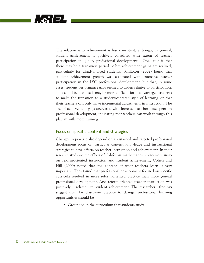

The relation with achievement is less consistent, although, in general, student achievement is positively correlated with extent of teacher participation in quality professional development. One issue is that there may be a transition period before achievement gains are realized, particularly for disadvantaged students. Banilower (2002) found that student achievement growth was associated with extensive teacher participation in the LSC professional development, but that, in some cases, student performance gaps seemed to widen relative to participation. This could be because it may be more difficult for disadvantaged students to make the transition to a student-centered style of learning—or that their teachers can only make incremental adjustments in instruction. The size of achievement gaps decreased with increased teacher time spent on professional development, indicating that teachers can work through this plateau with more training.

#### Focus on specific content and strategies

Changes in practice also depend on a sustained and targeted professional development focus on particular content knowledge and instructional strategies to have effects on teacher instruction and achievement. In their research study on the effects of California mathematics replacement units on reform-oriented instruction and student achievement, Cohen and Hill (2000) noted that the content of what teachers learn is very important. They found that professional development focused on specific curricula resulted in more reform-oriented practice than more general professional development. And reform-oriented teacher instruction was positively related to student achievement. The researcher findings suggest that, for classroom practice to change, professional learning opportunities should be

• Grounded in the curriculum that students study,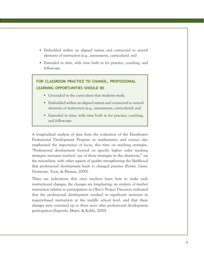- Embedded within an aligned system and connected to several elements of instruction (e.g., assessments, curriculum), and
- Extended in time, with time built in for practice, coaching, and follow-ups.

### **for classroom practice to change, professional learning opportunities should be**

- Grounded in the curriculum that students study,
- Embedded within an aligned system and connected to several elements of instruction (e.g., assessments, curriculum), and
- Extended in time, with time built in for practice, coaching, and follow-ups.

A longitudinal analysis of data from the evaluation of the Eisenhower Professional Development Program in mathematics and science also emphasized the importance of focus, this time on teaching strategies. "Professional development focused on specific higher order teaching strategies increases teachers' use of those strategies in the classroom," say the researchers, with other aspects of quality strengthening the likelihood that professional development leads to changed practice (Porter, Garet, Desimone, Yoon, & Birman, 2000).

There are indications that once teachers learn how to make such instructional changes, the changes are long-lasting; an analysis of teacher instruction relative to participation in Ohio's Project Discovery indicated that the professional development resulted in significant increases in inquiry-based instruction at the middle school level, and that these changes were sustained up to three years after professional development participation (Supovitz, Mayer, & Kahle, 2000).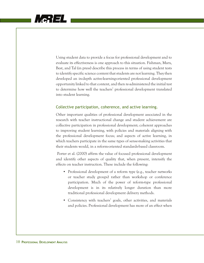

Using student data to provide a focus for professional development and to evaluate its effectiveness is one approach to this situation. Fishman, Marx, Best, and Tal (in press) describe this process in terms of using student tests to identify specific science content that students are not learning. They then developed an in-depth active-learning-oriented professional development opportunity linked to that content, and then re-administered the initial test to determine how well the teachers' professional development translated into student learning.

#### Collective participation, coherence, and active learning.

Other important qualities of professional development associated in the research with teacher instructional change and student achievement are collective participation in professional development; coherent approaches to improving student learning, with policies and materials aligning with the professional development focus; and aspects of active learning, in which teachers participate in the same types of sense-making activities that their students would, in a reform-oriented standards-based classroom.

 Porter et al. (2000) affirm the value of focused professional development and identify other aspects of quality that, when present, intensify the effects on teacher instruction. These include the following:

- Professional development of a reform type (e.g., teacher networks) or teacher study groups) rather than workshop or conference participation. Much of the power of reform-type professional development is in its relatively longer duration than more traditional professional development delivery methods.
- Consistency with teachers' goals, other activities, and materials and policies. Professional development has more of an effect when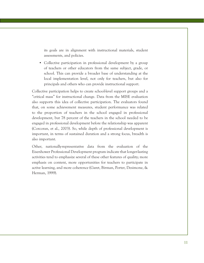its goals are in alignment with instructional materials, student assessments, and policies.

• Collective participation in professional development by a group of teachers or other educators from the same subject, grade, or school. This can provide a broader base of understanding at the local implementation level, not only for teachers, but also for principals and others who can provide instructional support.

Collective participation helps to create school-level support groups and a "critical mass" for instructional change. Data from the MISE evaluation also supports this idea of collective participation. The evaluators found that, on some achievement measures, student performance was related to the proportion of teachers in the school engaged in professional development, but 78 percent of the teachers in the school needed to be engaged in professional development before the relationship was apparent (Corcoran, et al., 2003). So, while depth of professional development is important, in terms of sustained duration and a strong focus, breadth is also important.

Other, nationally-representative data from the evaluation of the Eisenhower Professional Development program indicate that longer-lasting activities tend to emphasize several of these other features of quality; more emphasis on content, more opportunities for teachers to participate in active learning, and more coherence (Garet, Birman, Porter, Desimone, & Herman, 1999).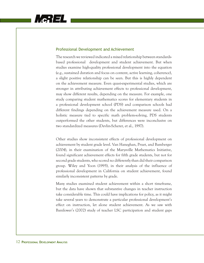

#### Professional Development and Achievement

The research we reviewed indicated a mixed relationship between standardsbased professional development and student achievement. But when studies examine high-quality professional development into the equation (e.g., sustained duration and focus on content, active learning, coherence), a slight positive relationship can be seen. But this is highly dependent on the achievement measure. Even quasi-experimental studies, which are stronger in attributing achievement effects to professional development, may show different results, depending on the measure. For example, one study comparing student mathematics scores for elementary students in a professional development school (PDS) and comparison schools had different findings depending on the achievement measure used. On a holistic measure tied to specific math problem-solving, PDS students outperformed the other students, but differences were inconclusive on two standardized measures (Devlin-Scherer, et al., 1997).

Other studies show inconsistent effects of professional development on achievement by student grade level. Van Haneghan, Pruet, and Bamberger (2004), in their examination of the Marysville Mathematics Initiative, found significant achievement effects for fifth grade students, but not for second grade students, who scored no differently than did their comparison group. Wiley and Yoon (1995), in their analysis of the influence of professional development in California on student achievement, found similarly inconsistent patterns by grade.

Many studies examined student achievement within a short timeframe, but the data have shown that substantive changes in teacher instruction take considerable time. This could have implications for policy, as it might take several years to demonstrate a particular professional development's effect on instruction, let alone student achievement. As we saw with Banilower's (2002) study of teacher LSC participation and student gaps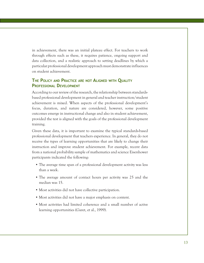in achievement, there was an initial plateau effect. For teachers to work through effects such as these, it requires patience, ongoing support and data collection, and a realistic approach to setting deadlines by which a particular professional development approach must demonstrate influences on student achievement.

### **The Policy and Practice are not Aligned with Quality Professional Development**

According to our review of the research, the relationship between standardsbased professional development in general and teacher instruction/student achievement is mixed. When aspects of the professional development's focus, duration, and nature are considered, however, some positive outcomes emerge in instructional change and also in student achievement, provided the test is aligned with the goals of the professional development training.

Given these data, it is important to examine the typical standards-based professional development that teachers experience. In general, they do not receive the types of learning opportunities that are likely to change their instruction and improve student achievement. For example, recent data from a national probability sample of mathematics and science Eisenhower participants indicated the following:

- The average time span of a professional development activity was less than a week.
- The average amount of contact hours per activity was 25 and the median was 15.
- Most activities did not have collective participation.
- Most activities did not have a major emphasis on content.
- Most activities had limited coherence and a small number of active learning opportunities (Garet, et al., 1999).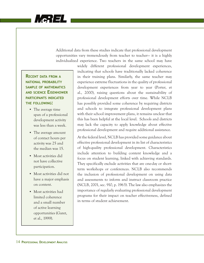

Additional data from these studies indicate that professional development opportunities vary tremendously from teacher to teacher— it is a highly individualized experience. Two teachers in the same school may have

**Recent data from a national probability sample of mathematics and science Eisenhower participants indicated the following:**

- The average time span of a professional development activity was less than a week.
- The average amount of contact hours per activity was 25 and the median was 15.
- Most activities did not have collective participation.
- Most activities did not have a major emphasis on content.
- Most activities had limited coherence and a small number of active learning opportunities (Garet, et al., 1999).

widely different professional development experiences, indicating that schools have traditionally lacked coherence in their training plans. Similarly, the same teacher may experience extreme fluctuations in the quality of professional development experiences from year to year (Porter, et al., 2000), raising questions about the sustainability of professional development efforts over time. While NCLB has possibly provided some coherence by requiring districts and schools to integrate professional development plans with their school improvement plans, it remains unclear that this has been helpful at the local level. Schools and districts may lack the capacity to apply knowledge about effective professional development and require additional assistance.

At the federal level, NCLB has provided some guidance about effective professional development in its list of characteristics of high-quality professional development. Characteristics include attention to building content knowledge and a focus on student learning, linked with achieving standards. They specifically exclude activities that are one-day or shortterm workshops or conferences. NCLB also recommends the inclusion of professional development on using data and assessments to inform and instruct classroom practice (NCLB, 2001, sec. 910, p. 1963). The law also emphasizes the importance of regularly evaluating professional development programs for their impact on teacher effectiveness, defined in terms of student achievement.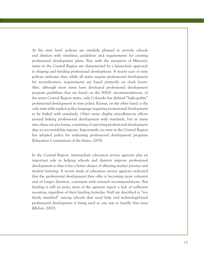At the state level, policies are similarly phrased to provide schools and districts with timelines, guidelines and requirements for creating professional development plans. But, with the exception of Missouri, states in the Central Region are characterized by a laissez-faire approach to shaping and funding professional development. A recent scan of state policies indicates that, while all states require professional development for recertification, requirements are based primarily on clock hours. Also, although most states have developed professional development program guidelines that are based on the NSDC recommendations, of the seven Central Region states, only Colorado has defined "high-quality" professional development in state policy. Kansas, on the other hand, is the only state with explicit policy language requiring professional development to be linked with standards. Other states display miscellaneous efforts around linking professional development with standards, but in many sites, these are pro forma, consisting of reporting professional development days in accountability reports. Importantly, no state in the Central Region has adopted policy for evaluating professional development programs (Education Commission of the States, 2005).

In the Central Region, intermediate education service agencies play an important role in helping schools and districts improve professional development so that it has a better chance of affecting teacher practice and student learning. A recent study of education service agencies indicated that the professional development they offer is becoming more coherent and of longer duration, consistent with research recommendations. But funding is still an issue; most of the agencies report a lack of sufficient resources, regardless of their funding formulas. Staff are described as "too thinly stretched" among schools that need help and technology-based professional development is being used as one way to handle that issue (McIver, 2002).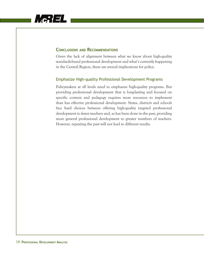

#### **Conclusions and Recommendations**

Given the lack of alignment between what we know about high-quality standards-based professional development and what's currently happening in the Central Region, there are several implications for policy.

#### Emphasize High-quality Professional Development Programs

Policymakers at all levels need to emphasize high-quality programs. But providing professional development that is long-lasting and focused on specific content and pedagogy requires more resources to implement than less effective professional development. States, districts and schools face hard choices between offering high-quality targeted professional development to fewer teachers and, as has been done in the past, providing more general professional development to greater numbers of teachers. However, repeating the past will not lead to different results.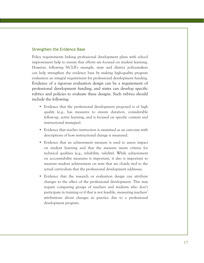#### Strengthen the Evidence Base

Policy requirements linking professional development plans with school improvement help to ensure that efforts are focused on student learning. However, following NCLB's example, state and district policymakers can help strengthen the evidence base by making high-quality program evaluation an integral requirement for professional development funding. Evidence of a rigorous evaluation design can be a requirement of professional development funding, and states can develop specific rubrics and policies to evaluate these designs. Such rubrics should include the following:

- Evidence that the professional development proposed is of high quality (e.g., has measures to ensure duration, considerable follow-up, active learning, and is focused on specific content and instructional strategies).
- Evidence that teacher instruction is examined as an outcome with descriptions of how instructional change is measured.
- Evidence that an achievement measure is used to assess impact on student learning and that the measure meets criteria for technical qualities (e.g., reliability, validity). While achievement on accountability measures is important, it also is important to measure student achievement on tests that are closely tied to the actual curriculum that the professional development addresses.
- Evidence that the research or evaluation design can attribute changes to the effect of the professional development. This may require comparing groups of teachers and students who don't participate in training or if that is not feasible, measuring teachers' attributions about changes in practice due to a professional development program.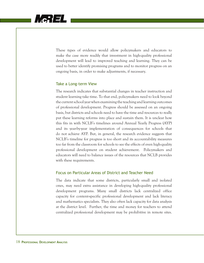

These types of evidence would allow policymakers and educators to make the case more readily that investment in high-quality professional development will lead to improved teaching and learning. They can be used to better identify promising programs and to monitor progress on an ongoing basis, in order to make adjustments, if necessary.

#### Take a Long-term View

The research indicates that substantial changes in teacher instruction and student learning take time. To that end, policymakers need to look beyond the current school year when examining the teaching and learning outcomes of professional development. Progress should be assessed on an ongoing basis, but districts and schools need to have the time and resources to really put these learning reforms into place and sustain them. It is unclear how this fits in with NCLB's timelines around Annual Yearly Progress (AYP) and its year-by-year implementation of consequences for schools that do not achieve AYP. But, in general, the research evidence suggests that NCLB's timeline for progress is too short and its accountability measures too far from the classroom for schools to see the effects of even high-quality professional development on student achievement. Policymakers and educators will need to balance issues of the resources that NCLB provides with these requirements.

#### Focus on Particular Areas of District and Teacher Need

The data indicate that some districts, particularly small and isolated ones, may need extra assistance in developing high-quality professional development programs. Many small districts lack centralized office capacity for content-specific professional development and lack literacy and mathematics specialists. They also often lack capacity for data analysis at the district level. Further, the time and money for teachers to attend centralized professional development may be prohibitive in remote sites.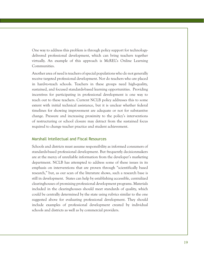One way to address this problem is through policy support for technologydelivered professional development, which can bring teachers together virtually. An example of this approach is McREL's Online Learning Communities.

Another area of need is teachers of special populations who do not generally receive targeted professional development. Nor do teachers who are placed in hard-to-teach schools. Teachers in these groups need high-quality, sustained, and focused standards-based learning opportunities. Providing incentives for participating in professional development is one way to reach out to these teachers. Current NCLB policy addresses this to some extent with initial technical assistance, but it is unclear whether federal timelines for showing improvement are adequate or not for substantive change. Pressure and increasing proximity to the policy's interventions of restructuring or school closure may detract from the sustained focus required to change teacher practice and student achievement.

#### Marshall Intellectual and Fiscal Resources

Schools and districts must assume responsibility as informed consumers of standards-based professional development. But frequently decisionmakers are at the mercy of unreliable information from the developer's marketing department. NCLB has attempted to address some of these issues in its emphasis on interventions that are proven through "scientifically based research," but, as our scan of the literature shows, such a research base is still in development. States can help by establishing accessible, centralized clearinghouses of promising professional development programs. Materials included in the clearinghouses should meet standards of quality, which could be centrally determined by the state using rubrics similar to the one suggested above for evaluating professional development. They should include examples of professional development created by individual schools and districts as well as by commercial providers.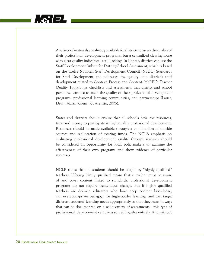A variety of materials are already available for districts to assess the quality of their professional development programs, but a centralized clearinghouse with clear quality indicators is still lacking. In Kansas, districts can use the Staff Development Rubric for District/School Assessment, which is based on the twelve National Staff Development Council (NSDC) Standards for Staff Development and addresses the quality of a district's staff development related to Context, Process and Content. McREL's Teacher Quality Toolkit has checklists and assessments that district and school personnel can use to audit the quality of their professional development programs, professional learning communities, and partnerships (Lauer, Dean, Martin-Glenn, & Asensio, 2005).

States and districts should ensure that all schools have the resources, time and money to participate in high-quality professional development. Resources should be made available through a combination of outside sources and reallocation of existing funds. The NCLB emphasis on evaluating professional development quality through research should be considered an opportunity for local policymakers to examine the effectiveness of their own programs and show evidence of particular successes.

NCLB states that all students should be taught by "highly qualified" teachers. If being highly qualified means that a teacher must be aware of and cover content linked to standards, professional development programs do not require tremendous change. But if highly qualified teachers are deemed educators who have deep content knowledge, can use appropriate pedagogy for higher-order learning, and can target different students' learning needs appropriately so that they learn in ways that can be documented on a wide variety of assessments— this type of professional development venture is something else entirely. And without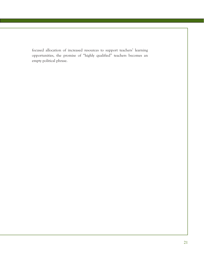focused allocation of increased resources to support teachers' learning opportunities, the promise of "highly qualified" teachers becomes an empty political phrase.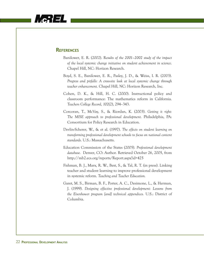

#### **References**

- Banilower, E. R. (2002). R*esults of the 2001–2002 study of the impact of the local systemic change initiative on student achievement in science*. Chapel Hill, NC: Horizon Research.
- Boyd, S. E., Banilower, E. R., Pasley, J. D., & Weiss, I. R. (2003). *Progress and pitfalls: A cross-site look at local systemic change through teacher enhancement.* Chapel Hill, NC: Horizon Research, Inc.
- Cohen, D. K., & Hill, H. C. (2000). Instructional policy and classroom performance: The mathematics reform in California. *Teachers College Record, 102*(2), 294–343.
- Corcoran, T., McVay, S., & Riordan, K. (2003). *Getting it right: The MISE approach to professional development.* Philadelphia, PA: Consortium for Policy Research in Education.
- Devlin-Scherer, W., & et al. (1997). *The effects on student learning on transforming professional development schools to focus on national content standards*. U.S.: Massachusetts.
- Education Commission of the States (2005). *Professional development database.* Denver, CO: Author. Retrieved October 26, 2005, from http://mb2.ecs.org/reports/Report.aspx?id=425
- Fishman, B. J., Marx, R. W., Best, S., & Tal, R. T. (in press). Linking teacher and student learning to improve professional development in systemic reform. *Teaching and Teacher Education.*
- Garet, M. S., Birman, B. F., Porter, A. C., Desimone, L., & Herman, J. (1999). *Designing effective professional development: Lessons from the Eisenhower program [and] technical appendices.* U.S.: District of Columbia.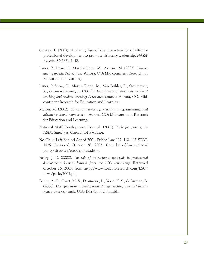- Guskey, T. (2003). Analyzing lists of the characteristics of effective professional development to promote visionary leadership. *NASSP Bulletin, 87*(637), 4–18.
- Lauer, P., Dean, C., Martin-Glenn, M., Asensio, M. (2005). *Teacher quality toolkit: 2nd edition.* Aurora, CO: Mid-continent Research for Education and Learning.
- Lauer, P, Snow, D., Martin-Glenn, M., Van Buhler, R., Stoutemyer, K., & Snow-Renner, R. (2005). *The influence of standards on K–12 teaching and student learning: A research synthesis.* Aurora, CO: Midcontinent Research for Education and Learning.
- McIver, M. (2002). *Education service agencies: Initiating, sustaining, and advancing school improvement.* Aurora, CO: Mid-continent Research for Education and Learning.
- National Staff Development Council. (2001). *Tools for growing the NSDC Standards.* Oxford, OH: Author.
- No Child Left Behind Act of 2001. Public Law 107–110. 115 STAT. 1425. Retrieved October 26, 2005, from http://www.ed.gov/ policy/elsec/leg/esea02/index.html
- Pasley, J. D. (2002). *The role of instructional materials in professional development: Lessons learned from the LSC community.* Retrieved October 26, 2005, from http://www.horizon-research.com/LSC/ news/pasley2002.php
- Porter, A. C., Garet, M. S., Desimone, L., Yoon, K. S., & Birman, B. (2000). *Does professional development change teaching practice? Results from a three-year study.* U.S.: District of Columbia.